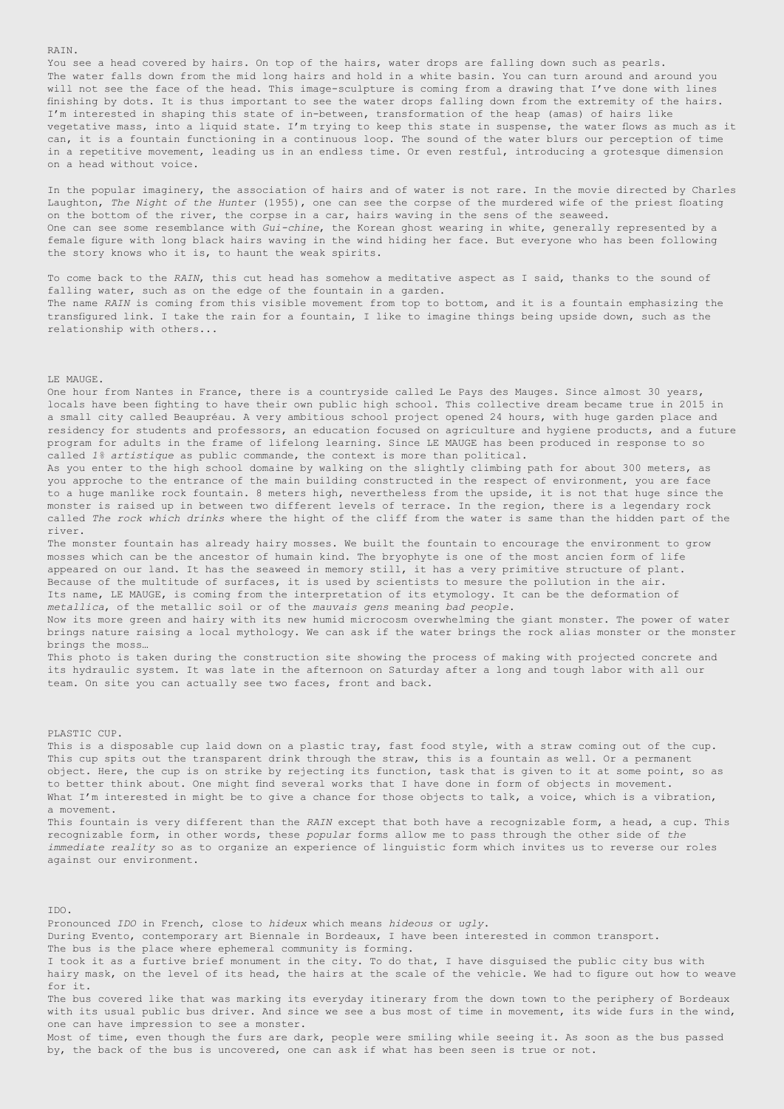You see a head covered by hairs. On top of the hairs, water drops are falling down such as pearls. The water falls down from the mid long hairs and hold in a white basin. You can turn around and around you will not see the face of the head. This image-sculpture is coming from a drawing that I've done with lines finishing by dots. It is thus important to see the water drops falling down from the extremity of the hairs. I'm interested in shaping this state of in-between, transformation of the heap (amas) of hairs like vegetative mass, into a liquid state. I'm trying to keep this state in suspense, the water flows as much as it can, it is a fountain functioning in a continuous loop. The sound of the water blurs our perception of time in a repetitive movement, leading us in an endless time. Or even restful, introducing a grotesque dimension on a head without voice.

In the popular imaginery, the association of hairs and of water is not rare. In the movie directed by Charles Laughton, *The Night of the Hunter* (1955), one can see the corpse of the murdered wife of the priest floating on the bottom of the river, the corpse in a car, hairs waving in the sens of the seaweed. One can see some resemblance with *Gui-chine*, the Korean ghost wearing in white, generally represented by a female figure with long black hairs waving in the wind hiding her face. But everyone who has been following the story knows who it is, to haunt the weak spirits.

To come back to the *RAIN*, this cut head has somehow a meditative aspect as I said, thanks to the sound of falling water, such as on the edge of the fountain in a garden. The name *RAIN* is coming from this visible movement from top to bottom, and it is a fountain emphasizing the transfigured link. I take the rain for a fountain, I like to imagine things being upside down, such as the relationship with others...

### LE MAUGE.

One hour from Nantes in France, there is a countryside called Le Pays des Mauges. Since almost 30 years, locals have been fighting to have their own public high school. This collective dream became true in 2015 in a small city called Beaupréau. A very ambitious school project opened 24 hours, with huge garden place and residency for students and professors, an education focused on agriculture and hygiene products, and a future program for adults in the frame of lifelong learning. Since LE MAUGE has been produced in response to so called *1% artistique* as public commande, the context is more than political.

As you enter to the high school domaine by walking on the slightly climbing path for about 300 meters, as you approche to the entrance of the main building constructed in the respect of environment, you are face to a huge manlike rock fountain. 8 meters high, nevertheless from the upside, it is not that huge since the monster is raised up in between two different levels of terrace. In the region, there is a legendary rock called *The rock which drinks* where the hight of the cliff from the water is same than the hidden part of the river.

The monster fountain has already hairy mosses. We built the fountain to encourage the environment to grow mosses which can be the ancestor of humain kind. The bryophyte is one of the most ancien form of life appeared on our land. It has the seaweed in memory still, it has a very primitive structure of plant. Because of the multitude of surfaces, it is used by scientists to mesure the pollution in the air. Its name, LE MAUGE, is coming from the interpretation of its etymology. It can be the deformation of *metallica*, of the metallic soil or of the *mauvais gens* meaning *bad people*.

Now its more green and hairy with its new humid microcosm overwhelming the giant monster. The power of water brings nature raising a local mythology. We can ask if the water brings the rock alias monster or the monster brings the moss…

This photo is taken during the construction site showing the process of making with projected concrete and its hydraulic system. It was late in the afternoon on Saturday after a long and tough labor with all our team. On site you can actually see two faces, front and back.

### PLASTIC CUP.

This is a disposable cup laid down on a plastic tray, fast food style, with a straw coming out of the cup. This cup spits out the transparent drink through the straw, this is a fountain as well. Or a permanent object. Here, the cup is on strike by rejecting its function, task that is given to it at some point, so as to better think about. One might find several works that I have done in form of objects in movement. What I'm interested in might be to give a chance for those objects to talk, a voice, which is a vibration, a movement.

This fountain is very different than the *RAIN* except that both have a recognizable form, a head, a cup. This recognizable form, in other words, these *popular* forms allow me to pass through the other side of *the immediate reality* so as to organize an experience of linguistic form which invites us to reverse our roles against our environment.

IDO. Pronounced *IDO* in French, close to *hideux* which means *hideous* or *ugly*. During Evento, contemporary art Biennale in Bordeaux, I have been interested in common transport. The bus is the place where ephemeral community is forming. I took it as a furtive brief monument in the city. To do that, I have disguised the public city bus with hairy mask, on the level of its head, the hairs at the scale of the vehicle. We had to figure out how to weave for it. The bus covered like that was marking its everyday itinerary from the down town to the periphery of Bordeaux with its usual public bus driver. And since we see a bus most of time in movement, its wide furs in the wind, one can have impression to see a monster. Most of time, even though the furs are dark, people were smiling while seeing it. As soon as the bus passed by, the back of the bus is uncovered, one can ask if what has been seen is true or not.

#### RAIN.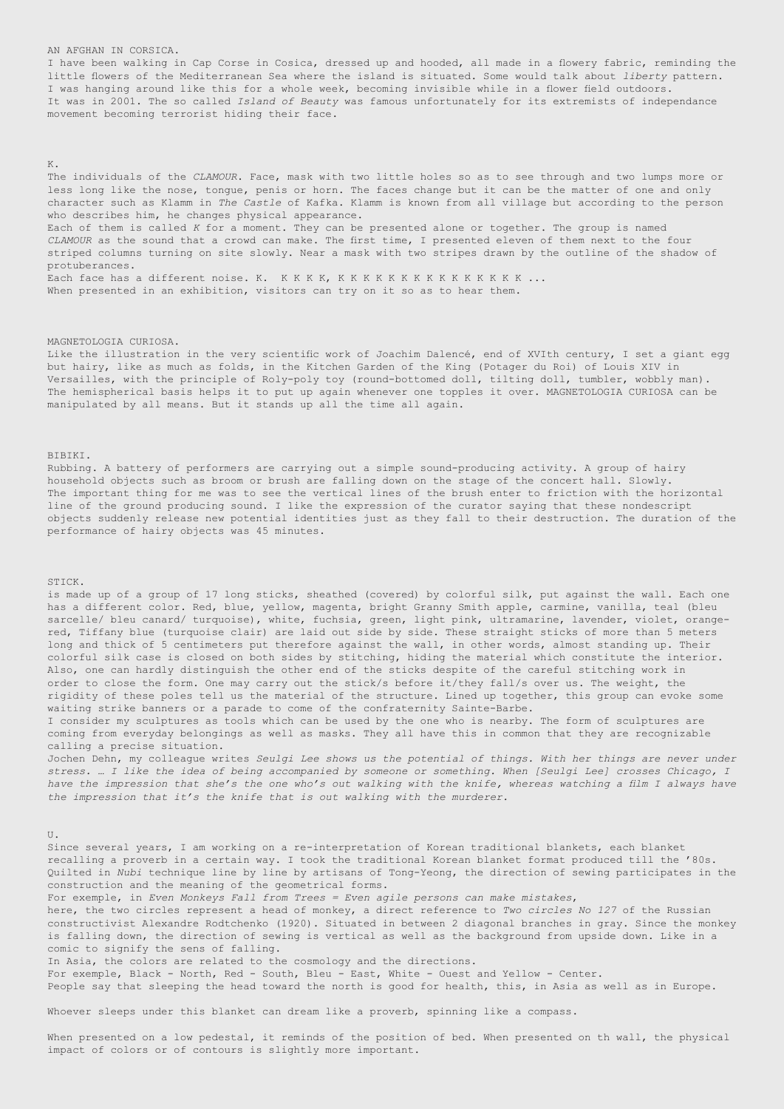## AN AFGHAN IN CORSICA.

I have been walking in Cap Corse in Cosica, dressed up and hooded, all made in a flowery fabric, reminding the little flowers of the Mediterranean Sea where the island is situated. Some would talk about *liberty* pattern. I was hanging around like this for a whole week, becoming invisible while in a flower field outdoors. It was in 2001. The so called *Island of Beauty* was famous unfortunately for its extremists of independance movement becoming terrorist hiding their face.

### K.

The individuals of the *CLAMOUR*. Face, mask with two little holes so as to see through and two lumps more or less long like the nose, tongue, penis or horn. The faces change but it can be the matter of one and only character such as Klamm in *The Castle* of Kafka. Klamm is known from all village but according to the person who describes him, he changes physical appearance. Each of them is called *K* for a moment. They can be presented alone or together. The group is named *CLAMOUR* as the sound that a crowd can make. The first time, I presented eleven of them next to the four striped columns turning on site slowly. Near a mask with two stripes drawn by the outline of the shadow of protuberances.

Each face has a different noise. K. K K K K, K K K K K K K K K K K K K K K ... When presented in an exhibition, visitors can try on it so as to hear them.

## MAGNETOLOGIA CURIOSA.

Like the illustration in the very scientific work of Joachim Dalencé, end of XVIth century, I set a giant egg but hairy, like as much as folds, in the Kitchen Garden of the King (Potager du Roi) of Louis XIV in Versailles, with the principle of Roly-poly toy (round-bottomed doll, tilting doll, tumbler, wobbly man). The hemispherical basis helps it to put up again whenever one topples it over. MAGNETOLOGIA CURIOSA can be manipulated by all means. But it stands up all the time all again.

BIBIKI.

Rubbing. A battery of performers are carrying out a simple sound-producing activity. A group of hairy household objects such as broom or brush are falling down on the stage of the concert hall. Slowly. The important thing for me was to see the vertical lines of the brush enter to friction with the horizontal line of the ground producing sound. I like the expression of the curator saying that these nondescript objects suddenly release new potential identities just as they fall to their destruction. The duration of the performance of hairy objects was 45 minutes.

# STICK.

is made up of a group of 17 long sticks, sheathed (covered) by colorful silk, put against the wall. Each one has a different color. Red, blue, yellow, magenta, bright Granny Smith apple, carmine, vanilla, teal (bleu sarcelle/ bleu canard/ turquoise), white, fuchsia, green, light pink, ultramarine, lavender, violet, orangered, Tiffany blue (turquoise clair) are laid out side by side. These straight sticks of more than 5 meters long and thick of 5 centimeters put therefore against the wall, in other words, almost standing up. Their colorful silk case is closed on both sides by stitching, hiding the material which constitute the interior. Also, one can hardly distinguish the other end of the sticks despite of the careful stitching work in order to close the form. One may carry out the stick/s before it/they fall/s over us. The weight, the rigidity of these poles tell us the material of the structure. Lined up together, this group can evoke some waiting strike banners or a parade to come of the confraternity Sainte-Barbe.

I consider my sculptures as tools which can be used by the one who is nearby. The form of sculptures are coming from everyday belongings as well as masks. They all have this in common that they are recognizable calling a precise situation.

Jochen Dehn, my colleague writes *Seulgi Lee shows us the potential of things. With her things are never under stress. … I like the idea of being accompanied by someone or something. When [Seulgi Lee] crosses Chicago, I have the impression that she's the one who's out walking with the knife, whereas watching a film I always have the impression that it's the knife that is out walking with the murderer.*

 $U$ .

Since several years, I am working on a re-interpretation of Korean traditional blankets, each blanket recalling a proverb in a certain way. I took the traditional Korean blanket format produced till the '80s. Quilted in *Nubi* technique line by line by artisans of Tong-Yeong, the direction of sewing participates in the construction and the meaning of the geometrical forms.

For exemple, in *Even Monkeys Fall from Trees = Even agile persons can make mistakes*, here, the two circles represent a head of monkey, a direct reference to *Two circles No 127* of the Russian constructivist Alexandre Rodtchenko (1920). Situated in between 2 diagonal branches in gray. Since the monkey is falling down, the direction of sewing is vertical as well as the background from upside down. Like in a comic to signify the sens of falling.

In Asia, the colors are related to the cosmology and the directions.

For exemple, Black - North, Red - South, Bleu - East, White - Ouest and Yellow - Center. People say that sleeping the head toward the north is good for health, this, in Asia as well as in Europe.

Whoever sleeps under this blanket can dream like a proverb, spinning like a compass.

When presented on a low pedestal, it reminds of the position of bed. When presented on th wall, the physical

impact of colors or of contours is slightly more important.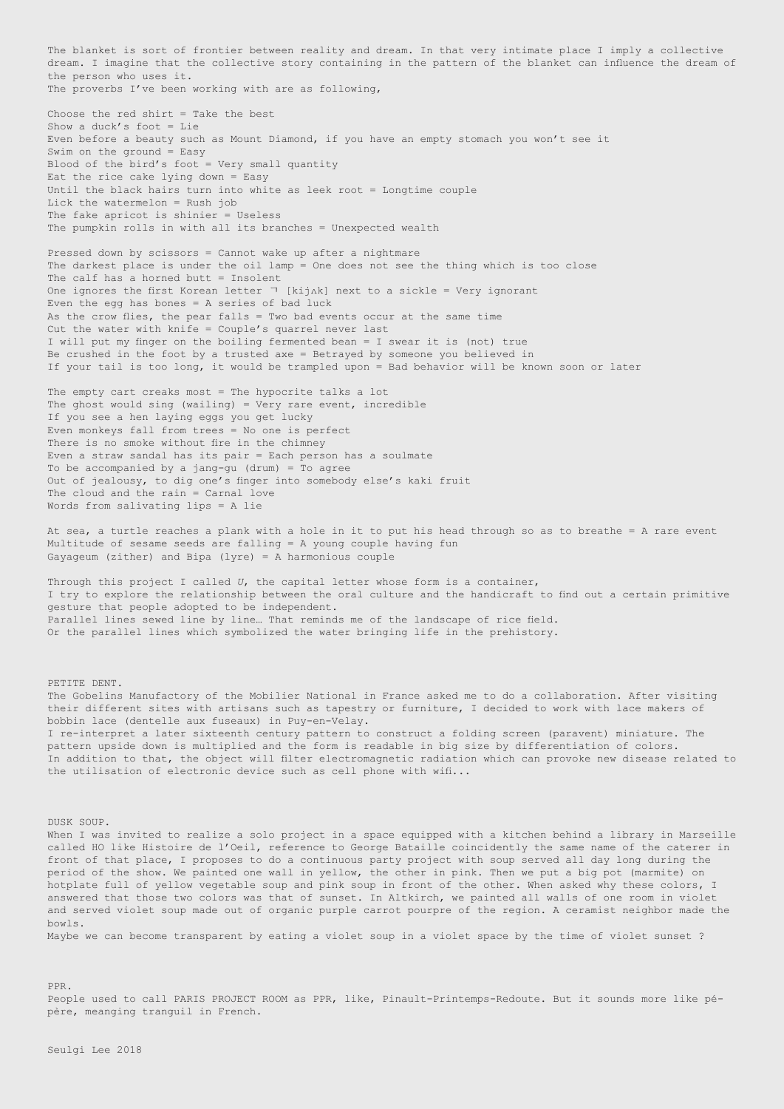The blanket is sort of frontier between reality and dream. In that very intimate place I imply a collective dream. I imagine that the collective story containing in the pattern of the blanket can influence the dream of the person who uses it. The proverbs I've been working with are as following,

Choose the red shirt = Take the best Show a duck's foot = Lie Even before a beauty such as Mount Diamond, if you have an empty stomach you won't see it Swim on the ground = Easy Blood of the bird's foot = Very small quantity Eat the rice cake lying down = Easy Until the black hairs turn into white as leek root = Longtime couple Lick the watermelon = Rush job The fake apricot is shinier = Useless The pumpkin rolls in with all its branches = Unexpected wealth

Pressed down by scissors = Cannot wake up after a nightmare The darkest place is under the oil lamp = One does not see the thing which is too close The calf has a horned butt  $=$  Insolent One ignores the first Korean letter  $\neg$  [kijAk] next to a sickle = Very ignorant Even the egg has bones  $= A$  series of bad luck As the crow flies, the pear falls = Two bad events occur at the same time Cut the water with knife = Couple's quarrel never last I will put my finger on the boiling fermented bean = I swear it is (not) true Be crushed in the foot by a trusted axe = Betrayed by someone you believed in If your tail is too long, it would be trampled upon = Bad behavior will be known soon or later

The empty cart creaks most = The hypocrite talks a lot The ghost would sing (wailing) = Very rare event, incredible If you see a hen laying eggs you get lucky Even monkeys fall from trees = No one is perfect There is no smoke without fire in the chimney Even a straw sandal has its pair = Each person has a soulmate To be accompanied by a jang-gu (drum) = To agree Out of jealousy, to dig one's finger into somebody else's kaki fruit The cloud and the rain = Carnal love Words from salivating lips = A lie

At sea, a turtle reaches a plank with a hole in it to put his head through so as to breathe = A rare event Multitude of sesame seeds are falling = A young couple having fun Gayageum (zither) and Bipa (lyre) = A harmonious couple

Through this project I called *U*, the capital letter whose form is a container, I try to explore the relationship between the oral culture and the handicraft to find out a certain primitive gesture that people adopted to be independent. Parallel lines sewed line by line… That reminds me of the landscape of rice field. Or the parallel lines which symbolized the water bringing life in the prehistory.

PETITE DENT.

The Gobelins Manufactory of the Mobilier National in France asked me to do a collaboration. After visiting their different sites with artisans such as tapestry or furniture, I decided to work with lace makers of bobbin lace (dentelle aux fuseaux) in Puy-en-Velay. I re-interpret a later sixteenth century pattern to construct a folding screen (paravent) miniature. The pattern upside down is multiplied and the form is readable in big size by differentiation of colors. In addition to that, the object will filter electromagnetic radiation which can provoke new disease related to the utilisation of electronic device such as cell phone with wifi...

DUSK SOUP.

When I was invited to realize a solo project in a space equipped with a kitchen behind a library in Marseille called HO like Histoire de l'Oeil, reference to George Bataille coincidently the same name of the caterer in front of that place, I proposes to do a continuous party project with soup served all day long during the period of the show. We painted one wall in yellow, the other in pink. Then we put a big pot (marmite) on hotplate full of yellow vegetable soup and pink soup in front of the other. When asked why these colors, I answered that those two colors was that of sunset. In Altkirch, we painted all walls of one room in violet and served violet soup made out of organic purple carrot pourpre of the region. A ceramist neighbor made the bowls. Maybe we can become transparent by eating a violet soup in a violet space by the time of violet sunset ?

PPR. People used to call PARIS PROJECT ROOM as PPR, like, Pinault-Printemps-Redoute. But it sounds more like pépère, meanging tranguil in French.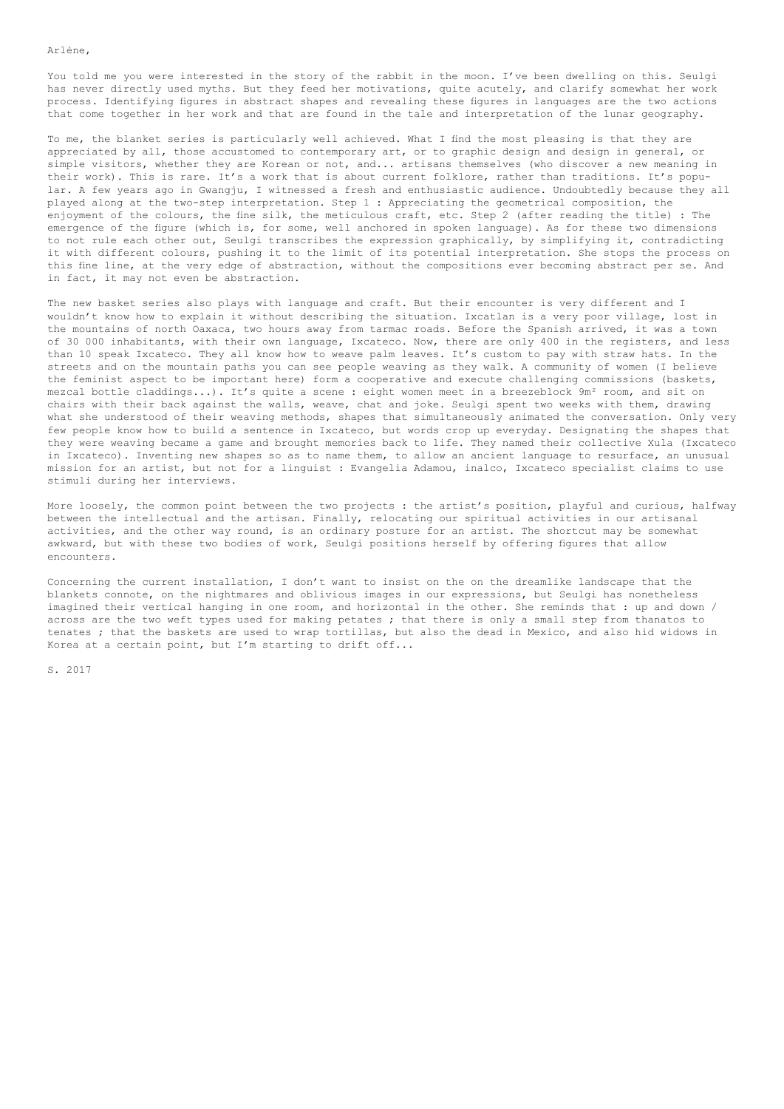## Arlène,

You told me you were interested in the story of the rabbit in the moon. I've been dwelling on this. Seulgi has never directly used myths. But they feed her motivations, quite acutely, and clarify somewhat her work process. Identifying figures in abstract shapes and revealing these figures in languages are the two actions that come together in her work and that are found in the tale and interpretation of the lunar geography.

To me, the blanket series is particularly well achieved. What I find the most pleasing is that they are appreciated by all, those accustomed to contemporary art, or to graphic design and design in general, or simple visitors, whether they are Korean or not, and... artisans themselves (who discover a new meaning in their work). This is rare. It's a work that is about current folklore, rather than traditions. It's popular. A few years ago in Gwangju, I witnessed a fresh and enthusiastic audience. Undoubtedly because they all played along at the two-step interpretation. Step 1 : Appreciating the geometrical composition, the enjoyment of the colours, the fine silk, the meticulous craft, etc. Step 2 (after reading the title) : The emergence of the figure (which is, for some, well anchored in spoken language). As for these two dimensions to not rule each other out, Seulgi transcribes the expression graphically, by simplifying it, contradicting it with different colours, pushing it to the limit of its potential interpretation. She stops the process on this fine line, at the very edge of abstraction, without the compositions ever becoming abstract per se. And in fact, it may not even be abstraction.

The new basket series also plays with language and craft. But their encounter is very different and I wouldn't know how to explain it without describing the situation. Ixcatlan is a very poor village, lost in the mountains of north Oaxaca, two hours away from tarmac roads. Before the Spanish arrived, it was a town of 30 000 inhabitants, with their own language, Ixcateco. Now, there are only 400 in the registers, and less than 10 speak Ixcateco. They all know how to weave palm leaves. It's custom to pay with straw hats. In the streets and on the mountain paths you can see people weaving as they walk. A community of women (I believe the feminist aspect to be important here) form a cooperative and execute challenging commissions (baskets, mezcal bottle claddings...). It's quite a scene : eight women meet in a breezeblock 9m² room, and sit on chairs with their back against the walls, weave, chat and joke. Seulgi spent two weeks with them, drawing what she understood of their weaving methods, shapes that simultaneously animated the conversation. Only very few people know how to build a sentence in Ixcateco, but words crop up everyday. Designating the shapes that they were weaving became a game and brought memories back to life. They named their collective Xula (Ixcateco in Ixcateco). Inventing new shapes so as to name them, to allow an ancient language to resurface, an unusual mission for an artist, but not for a linguist : Evangelia Adamou, inalco, Ixcateco specialist claims to use stimuli during her interviews.

More loosely, the common point between the two projects : the artist's position, playful and curious, halfway between the intellectual and the artisan. Finally, relocating our spiritual activities in our artisanal activities, and the other way round, is an ordinary posture for an artist. The shortcut may be somewhat awkward, but with these two bodies of work, Seulgi positions herself by offering figures that allow encounters.

Concerning the current installation, I don't want to insist on the on the dreamlike landscape that the blankets connote, on the nightmares and oblivious images in our expressions, but Seulgi has nonetheless imagined their vertical hanging in one room, and horizontal in the other. She reminds that : up and down / across are the two weft types used for making petates ; that there is only a small step from thanatos to tenates ; that the baskets are used to wrap tortillas, but also the dead in Mexico, and also hid widows in Korea at a certain point, but I'm starting to drift off...

S. 2017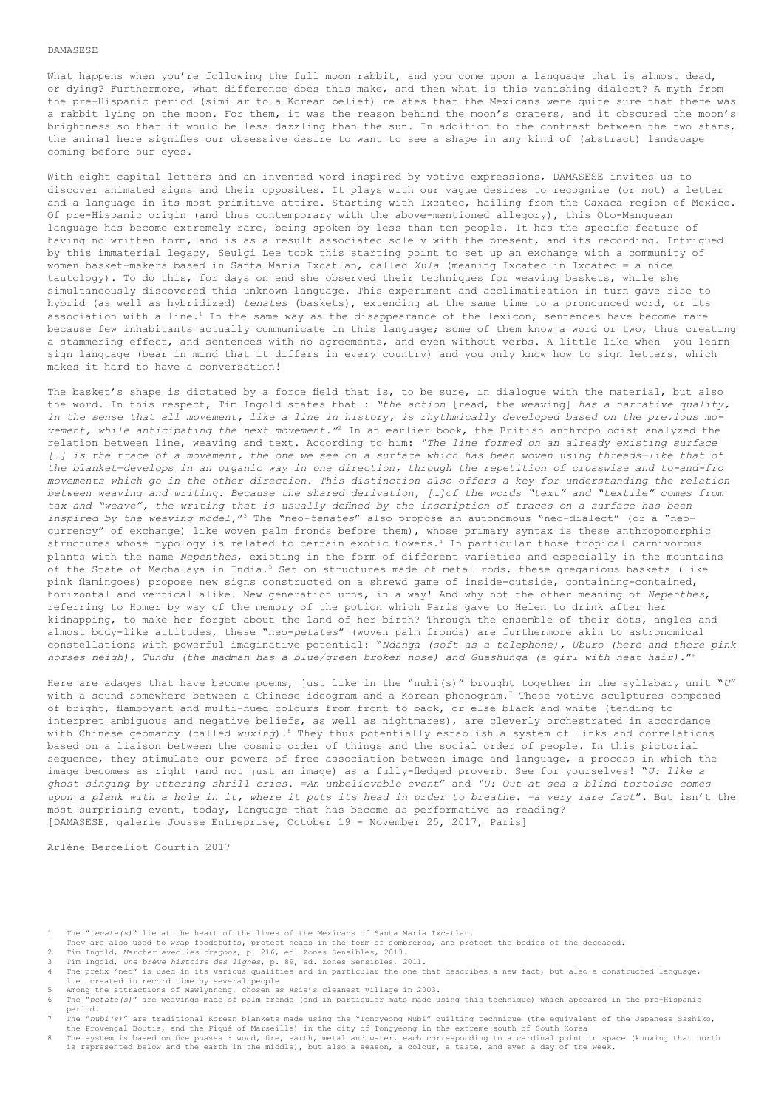### DAMASESE

What happens when you're following the full moon rabbit, and you come upon a language that is almost dead, or dying? Furthermore, what difference does this make, and then what is this vanishing dialect? A myth from the pre-Hispanic period (similar to a Korean belief) relates that the Mexicans were quite sure that there was a rabbit lying on the moon. For them, it was the reason behind the moon's craters, and it obscured the moon's brightness so that it would be less dazzling than the sun. In addition to the contrast between the two stars, the animal here signifies our obsessive desire to want to see a shape in any kind of (abstract) landscape coming before our eyes.

With eight capital letters and an invented word inspired by votive expressions, DAMASESE invites us to discover animated signs and their opposites. It plays with our vague desires to recognize (or not) a letter and a language in its most primitive attire. Starting with Ixcatec, hailing from the Oaxaca region of Mexico. Of pre-Hispanic origin (and thus contemporary with the above-mentioned allegory), this Oto-Manguean language has become extremely rare, being spoken by less than ten people. It has the specific feature of having no written form, and is as a result associated solely with the present, and its recording. Intrigued by this immaterial legacy, Seulgi Lee took this starting point to set up an exchange with a community of women basket-makers based in Santa Maria Ixcatlan, called *Xula* (meaning Ixcatec in Ixcatec = a nice tautology). To do this, for days on end she observed their techniques for weaving baskets, while she simultaneously discovered this unknown language. This experiment and acclimatization in turn gave rise to hybrid (as well as hybridized) *tenates* (baskets), extending at the same time to a pronounced word, or its association with a line.<sup>1</sup> In the same way as the disappearance of the lexicon, sentences have become rare because few inhabitants actually communicate in this language; some of them know a word or two, thus creating a stammering effect, and sentences with no agreements, and even without verbs. A little like when you learn sign language (bear in mind that it differs in every country) and you only know how to sign letters, which makes it hard to have a conversation!

The basket's shape is dictated by a force field that is, to be sure, in dialoque with the material, but also the word. In this respect, Tim Ingold states that : *"the action* [read, the weaving] *has a narrative quality, in the sense that all movement, like a line in history, is rhythmically developed based on the previous movement, while anticipating the next movement."*2 In an earlier book, the British anthropologist analyzed the relation between line, weaving and text. According to him: *"The line formed on an already existing surface […] is the trace of a movement, the one we see on a surface which has been woven using threads—like that of the blanket—develops in an organic way in one direction, through the repetition of crosswise and to-and-fro movements which go in the other direction. This distinction also offers a key for understanding the relation between weaving and writing. Because the shared derivation, […]of the words "text" and "textile" comes from tax and "weave", the writing that is usually defined by the inscription of traces on a surface has been inspired by the weaving model,*"3 The "neo-*tenates*" also propose an autonomous "neo-dialect" (or a "neocurrency" of exchange) like woven palm fronds before them), whose primary syntax is these anthropomorphic structures whose typology is related to certain exotic flowers.4 In particular those tropical carnivorous plants with the name *Nepenthes*, existing in the form of different varieties and especially in the mountains of the State of Meghalaya in India.<sup>5</sup> Set on structures made of metal rods, these gregarious baskets (like pink flamingoes) propose new signs constructed on a shrewd game of inside-outside, containing-contained, horizontal and vertical alike. New generation urns, in a way! And why not the other meaning of *Nepenthes*, referring to Homer by way of the memory of the potion which Paris gave to Helen to drink after her kidnapping, to make her forget about the land of her birth? Through the ensemble of their dots, angles and almost body-like attitudes, these "neo-*petates*" (woven palm fronds) are furthermore akin to astronomical constellations with powerful imaginative potential: "*Ndanga (soft as a telephone), Uburo (here and there pink horses neigh), Tundu (the madman has a blue/green broken nose) and Guashunga (a girl with neat hair).*"6

Here are adages that have become poems, just like in the "nubi(s)" brought together in the syllabary unit "*U*" with a sound somewhere between a Chinese ideogram and a Korean phonogram.<sup>7</sup> These votive sculptures composed of bright, flamboyant and multi-hued colours from front to back, or else black and white (tending to interpret ambiguous and negative beliefs, as well as nightmares), are cleverly orchestrated in accordance with Chinese geomancy (called *wuxing*).<sup>8</sup> They thus potentially establish a system of links and correlations based on a liaison between the cosmic order of things and the social order of people. In this pictorial sequence, they stimulate our powers of free association between image and language, a process in which the image becomes as right (and not just an image) as a fully-fledged proverb. See for yourselves! "*U: like a ghost singing by uttering shrill cries. =An unbelievable event*" and *"U: Out at sea a blind tortoise comes upon a plank with a hole in it, where it puts its head in order to breathe. =a very rare fact*". But isn't the most surprising event, today, language that has become as performative as reading? [DAMASESE, galerie Jousse Entreprise, October 19 - November 25, 2017, Paris]

Arlène Berceliot Courtin 2017

- 1 The "*tenate(s)*" lie at the heart of the lives of the Mexicans of Santa Maria Ixcatlan.
- They are also used to wrap foodstuffs, protect heads in the form of sombreros, and protect the bodies of the deceased.<br>They are also used to wrap foodstuffs, protect heads in the form of sombreros, and protect the bodies o
- 2 Tim Ingold, *Marcher avec les dragons*, p. 216, ed. Zones Sensibles, 2013.
- 
- 3 Tim Ingold, *Une brève histoire des lignes*, p. 89, ed. Zones Sensibles, 2011. 4 The prefix "neo" is used in its various qualities and in particular the one that describes a new fact, but also a constructed language, i.e. created in record time by several people.<br>5. Among the attractions of Maulunnong, chosen as
- For the attractions of Mawlynnong, chosen as Asia's cleanest village in 2003.<br>5 Among the attractions of Mawlynnong, chosen as Asia's cleanest village in 2003. 6 The "*petate(s)*" are weavings made of palm fronds (and in particular mats made using this technique) which appeared in the pre-Hispanic period.<br>7 The "nu
- 7 The "*nubi(s)*" are traditional Korean blankets made using the "Tongyeong Nubi" quilting technique (the equivalent of the Japanese Sashiko, the Provençal Boutis, and the Piqué of Marseille) in the city of Tongyeong in the extreme south of South Korea<br>R. The system is based on five phases : wood, fire, earth, metal and water, each corresponding to a cardinal po
- The system is based on five phases : wood, fire, earth, metal and water, each corresponding to a cardinal point in space (knowing that north<br>is represented below and the earth in the middle), but also a season, a colour, a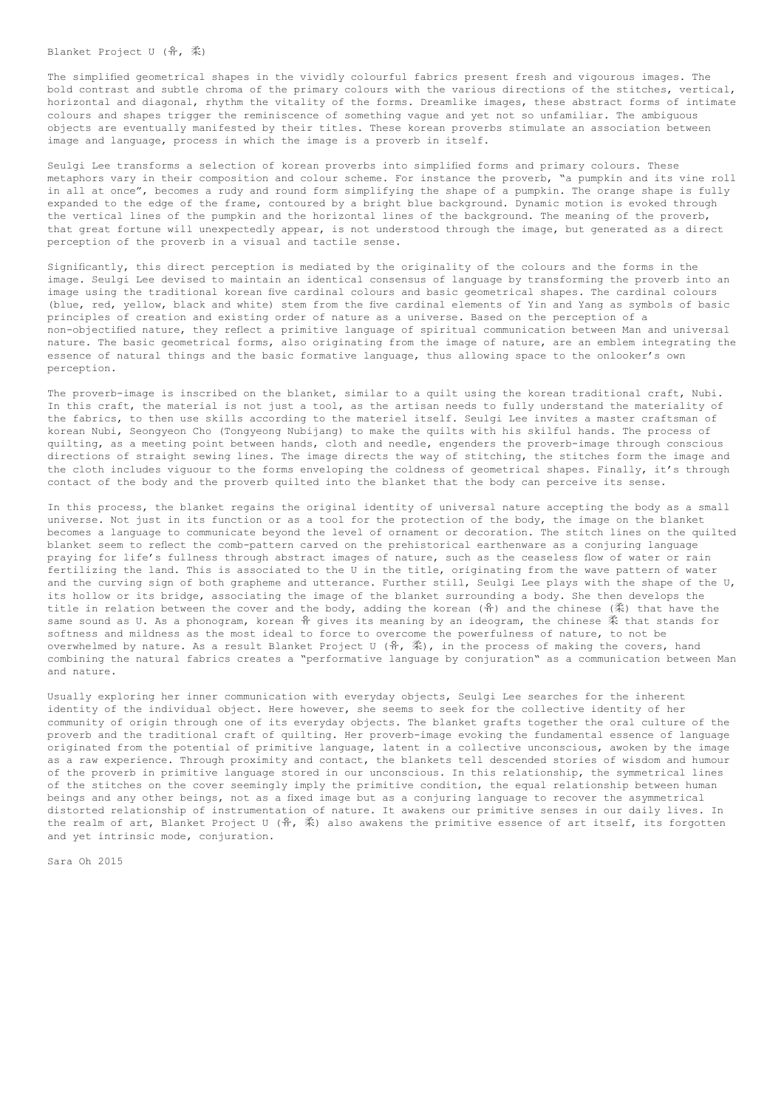Blanket Project U (유, 柔)

The simplified geometrical shapes in the vividly colourful fabrics present fresh and vigourous images. The bold contrast and subtle chroma of the primary colours with the various directions of the stitches, vertical, horizontal and diagonal, rhythm the vitality of the forms. Dreamlike images, these abstract forms of intimate colours and shapes trigger the reminiscence of something vague and yet not so unfamiliar. The ambiguous objects are eventually manifested by their titles. These korean proverbs stimulate an association between image and language, process in which the image is a proverb in itself.

Seulgi Lee transforms a selection of korean proverbs into simplified forms and primary colours. These metaphors vary in their composition and colour scheme. For instance the proverb, "a pumpkin and its vine roll in all at once", becomes a rudy and round form simplifying the shape of a pumpkin. The orange shape is fully expanded to the edge of the frame, contoured by a bright blue background. Dynamic motion is evoked through the vertical lines of the pumpkin and the horizontal lines of the background. The meaning of the proverb, that great fortune will unexpectedly appear, is not understood through the image, but generated as a direct perception of the proverb in a visual and tactile sense.

Significantly, this direct perception is mediated by the originality of the colours and the forms in the image. Seulgi Lee devised to maintain an identical consensus of language by transforming the proverb into an image using the traditional korean five cardinal colours and basic geometrical shapes. The cardinal colours (blue, red, yellow, black and white) stem from the five cardinal elements of Yin and Yang as symbols of basic principles of creation and existing order of nature as a universe. Based on the perception of a non-objectified nature, they reflect a primitive language of spiritual communication between Man and universal nature. The basic geometrical forms, also originating from the image of nature, are an emblem integrating the essence of natural things and the basic formative language, thus allowing space to the onlooker's own perception.

The proverb-image is inscribed on the blanket, similar to a quilt using the korean traditional craft, Nubi. In this craft, the material is not just a tool, as the artisan needs to fully understand the materiality of the fabrics, to then use skills according to the materiel itself. Seulgi Lee invites a master craftsman of korean Nubi, Seongyeon Cho (Tongyeong Nubijang) to make the quilts with his skilful hands. The process of quilting, as a meeting point between hands, cloth and needle, engenders the proverb-image through conscious directions of straight sewing lines. The image directs the way of stitching, the stitches form the image and the cloth includes viguour to the forms enveloping the coldness of geometrical shapes. Finally, it's through contact of the body and the proverb quilted into the blanket that the body can perceive its sense.

In this process, the blanket regains the original identity of universal nature accepting the body as a small universe. Not just in its function or as a tool for the protection of the body, the image on the blanket becomes a language to communicate beyond the level of ornament or decoration. The stitch lines on the quilted blanket seem to reflect the comb-pattern carved on the prehistorical earthenware as a conjuring language praying for life's fullness through abstract images of nature, such as the ceaseless flow of water or rain fertilizing the land. This is associated to the U in the title, originating from the wave pattern of water and the curving sign of both grapheme and utterance. Further still, Seulgi Lee plays with the shape of the U, its hollow or its bridge, associating the image of the blanket surrounding a body. She then develops the title in relation between the cover and the body, adding the korean  $(\hat{\pi})$  and the chinese  $(\tilde{\pi})$  that have the same sound as U. As a phonogram, korean  $\hat{\pi}$  gives its meaning by an ideogram, the chinese  $\bar{x}$  that stands for softness and mildness as the most ideal to force to overcome the powerfulness of nature, to not be overwhelmed by nature. As a result Blanket Project  $U$  (유, 柔), in the process of making the covers, hand combining the natural fabrics creates a "performative language by conjuration" as a communication between Man and nature.

Usually exploring her inner communication with everyday objects, Seulgi Lee searches for the inherent identity of the individual object. Here however, she seems to seek for the collective identity of her community of origin through one of its everyday objects. The blanket grafts together the oral culture of the proverb and the traditional craft of quilting. Her proverb-image evoking the fundamental essence of language originated from the potential of primitive language, latent in a collective unconscious, awoken by the image as a raw experience. Through proximity and contact, the blankets tell descended stories of wisdom and humour of the proverb in primitive language stored in our unconscious. In this relationship, the symmetrical lines of the stitches on the cover seemingly imply the primitive condition, the equal relationship between human beings and any other beings, not as a fixed image but as a conjuring language to recover the asymmetrical distorted relationship of instrumentation of nature. It awakens our primitive senses in our daily lives. In the realm of art, Blanket Project U (유, 柔) also awakens the primitive essence of art itself, its forgotten and yet intrinsic mode, conjuration.

Sara Oh 2015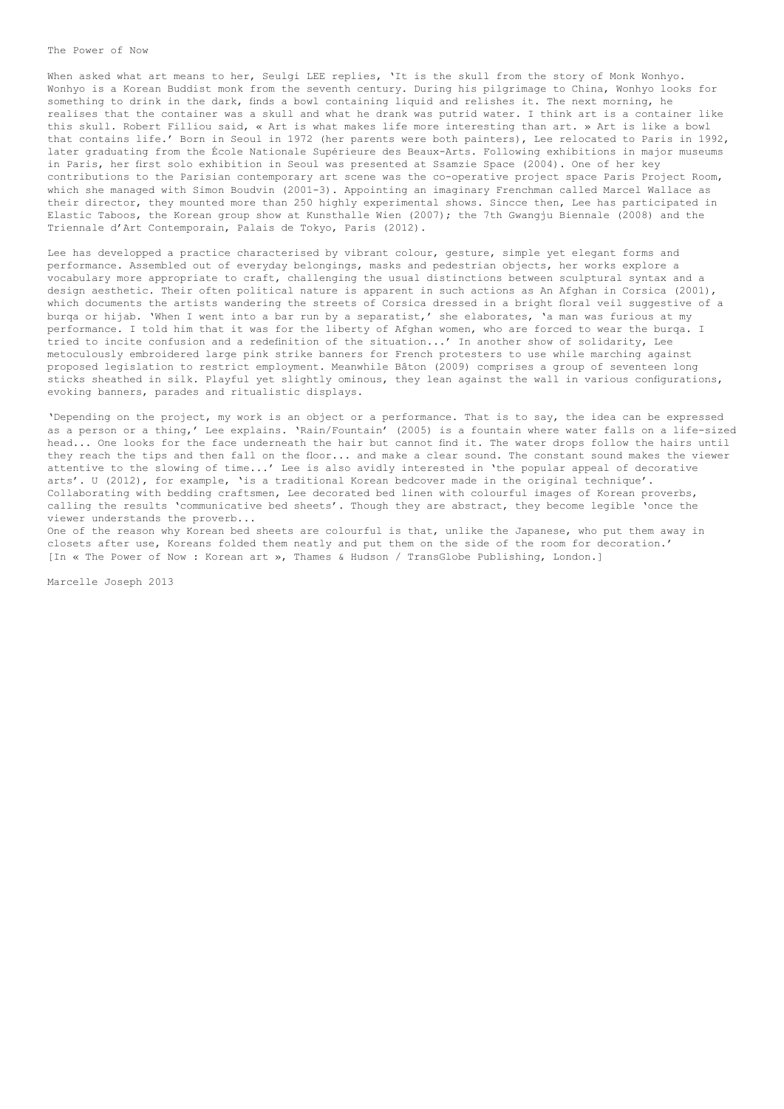# The Power of Now

When asked what art means to her, Seulgi LEE replies, 'It is the skull from the story of Monk Wonhyo. Wonhyo is a Korean Buddist monk from the seventh century. During his pilgrimage to China, Wonhyo looks for something to drink in the dark, finds a bowl containing liquid and relishes it. The next morning, he realises that the container was a skull and what he drank was putrid water. I think art is a container like this skull. Robert Filliou said, « Art is what makes life more interesting than art. » Art is like a bowl that contains life.' Born in Seoul in 1972 (her parents were both painters), Lee relocated to Paris in 1992, later graduating from the École Nationale Supérieure des Beaux-Arts. Following exhibitions in major museums in Paris, her first solo exhibition in Seoul was presented at Ssamzie Space (2004). One of her key contributions to the Parisian contemporary art scene was the co-operative project space Paris Project Room, which she managed with Simon Boudvin (2001-3). Appointing an imaginary Frenchman called Marcel Wallace as their director, they mounted more than 250 highly experimental shows. Sincce then, Lee has participated in Elastic Taboos, the Korean group show at Kunsthalle Wien (2007); the 7th Gwangju Biennale (2008) and the Triennale d'Art Contemporain, Palais de Tokyo, Paris (2012).

Lee has developped a practice characterised by vibrant colour, gesture, simple yet elegant forms and performance. Assembled out of everyday belongings, masks and pedestrian objects, her works explore a vocabulary more appropriate to craft, challenging the usual distinctions between sculptural syntax and a design aesthetic. Their often political nature is apparent in such actions as An Afghan in Corsica (2001), which documents the artists wandering the streets of Corsica dressed in a bright floral veil suggestive of a burqa or hijab. 'When I went into a bar run by a separatist,' she elaborates, 'a man was furious at my performance. I told him that it was for the liberty of Afghan women, who are forced to wear the burqa. I tried to incite confusion and a redefinition of the situation...' In another show of solidarity, Lee metoculously embroidered large pink strike banners for French protesters to use while marching against proposed legislation to restrict employment. Meanwhile Bâton (2009) comprises a group of seventeen long sticks sheathed in silk. Playful yet slightly ominous, they lean against the wall in various configurations, evoking banners, parades and ritualistic displays.

'Depending on the project, my work is an object or a performance. That is to say, the idea can be expressed as a person or a thing,' Lee explains. 'Rain/Fountain' (2005) is a fountain where water falls on a life-sized head... One looks for the face underneath the hair but cannot find it. The water drops follow the hairs until they reach the tips and then fall on the floor... and make a clear sound. The constant sound makes the viewer attentive to the slowing of time...' Lee is also avidly interested in 'the popular appeal of decorative arts'. U (2012), for example, 'is a traditional Korean bedcover made in the original technique'. Collaborating with bedding craftsmen, Lee decorated bed linen with colourful images of Korean proverbs, calling the results 'communicative bed sheets'. Though they are abstract, they become legible 'once the viewer understands the proverb...

One of the reason why Korean bed sheets are colourful is that, unlike the Japanese, who put them away in closets after use, Koreans folded them neatly and put them on the side of the room for decoration.' [In « The Power of Now : Korean art », Thames & Hudson / TransGlobe Publishing, London.]

Marcelle Joseph 2013